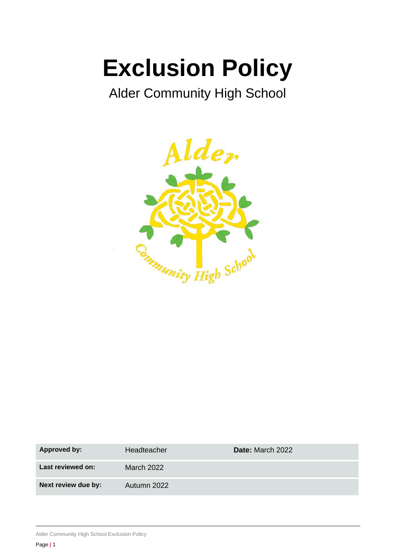# **Exclusion Policy**

# Alder Community High School



| Approved by:        | Headteacher | <b>Date:</b> March 2022 |
|---------------------|-------------|-------------------------|
| Last reviewed on:   | March 2022  |                         |
| Next review due by: | Autumn 2022 |                         |

Alder Community High School Exclusion Policy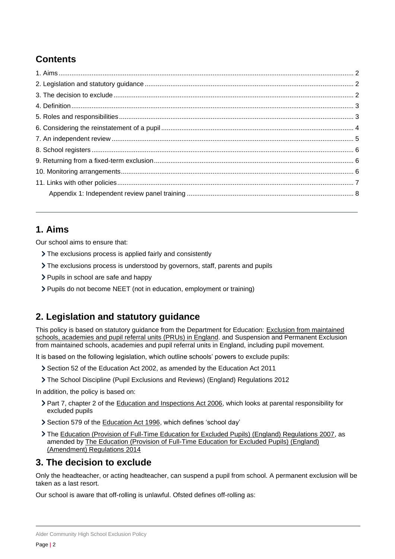# **Contents**

# <span id="page-1-0"></span>**1. Aims**

Our school aims to ensure that:

- The exclusions process is applied fairly and consistently
- The exclusions process is understood by governors, staff, parents and pupils
- Pupils in school are safe and happy
- Pupils do not become NEET (not in education, employment or training)

# <span id="page-1-1"></span>**2. Legislation and statutory guidance**

This policy is based on statutory guidance from the Department for Education: [Exclusion from maintained](https://www.gov.uk/government/publications/school-exclusion)  schools, academies [and pupil referral units \(PRUs\) in England.](https://www.gov.uk/government/publications/school-exclusion) and Suspension and Permanent Exclusion from maintained schools, academies and pupil referral units in England, including pupil movement.

It is based on the following legislation, which outline schools' powers to exclude pupils:

- Section 52 of the [Education Act 2002,](http://www.legislation.gov.uk/ukpga/2002/32/section/52) as amended by the [Education Act 2011](http://www.legislation.gov.uk/ukpga/2011/21/contents/enacted)
- [The School Discipline \(Pupil Exclusions and Reviews\) \(England\) Regulations 2012](http://www.legislation.gov.uk/uksi/2012/1033/made)

In addition, the policy is based on:

- > Part 7, chapter 2 of the [Education and Inspections Act 2006,](http://www.legislation.gov.uk/ukpga/2006/40/part/7/chapter/2) which looks at parental responsibility for excluded pupils
- Section 579 of the [Education Act 1996,](http://www.legislation.gov.uk/ukpga/1996/56/section/579) which defines 'school day'
- The [Education \(Provision of Full-Time Education for Excluded Pupils\) \(England\) Regulations 2007,](http://www.legislation.gov.uk/uksi/2007/1870/contents/made) as amended by The [Education \(Provision of Full-Time Education for Excluded Pupils\) \(England\)](http://www.legislation.gov.uk/uksi/2014/3216/contents/made)  [\(Amendment\) Regulations 2014](http://www.legislation.gov.uk/uksi/2014/3216/contents/made)

# <span id="page-1-2"></span>**3. The decision to exclude**

Only the headteacher, or acting headteacher, can suspend a pupil from school. A permanent exclusion will be taken as a last resort.

Our school is aware that off-rolling is unlawful. Ofsted defines off-rolling as:

Alder Community High School Exclusion Policy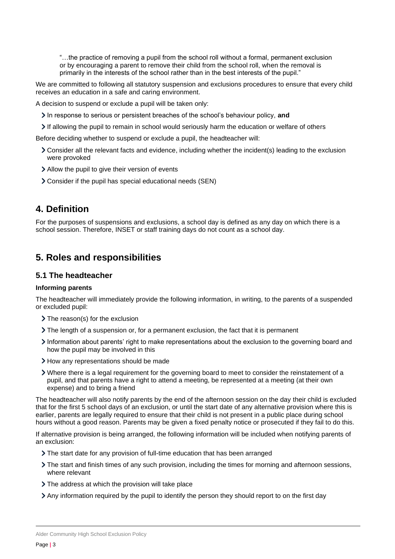"…the practice of removing a pupil from the school roll without a formal, permanent exclusion or by encouraging a parent to remove their child from the school roll, when the removal is primarily in the interests of the school rather than in the best interests of the pupil."

We are committed to following all statutory suspension and exclusions procedures to ensure that every child receives an education in a safe and caring environment.

A decision to suspend or exclude a pupil will be taken only:

- In response to serious or persistent breaches of the school's behaviour policy, **and**
- If allowing the pupil to remain in school would seriously harm the education or welfare of others

Before deciding whether to suspend or exclude a pupil, the headteacher will:

- Consider all the relevant facts and evidence, including whether the incident(s) leading to the exclusion were provoked
- Allow the pupil to give their version of events
- Consider if the pupil has special educational needs (SEN)

# <span id="page-2-0"></span>**4. Definition**

For the purposes of suspensions and exclusions, a school day is defined as any day on which there is a school session. Therefore, INSET or staff training days do not count as a school day.

# <span id="page-2-1"></span>**5. Roles and responsibilities**

#### **5.1 The headteacher**

#### **Informing parents**

The headteacher will immediately provide the following information, in writing, to the parents of a suspended or excluded pupil:

- > The reason(s) for the exclusion
- The length of a suspension or, for a permanent exclusion, the fact that it is permanent
- Information about parents' right to make representations about the exclusion to the governing board and how the pupil may be involved in this
- > How any representations should be made
- Where there is a legal requirement for the governing board to meet to consider the reinstatement of a pupil, and that parents have a right to attend a meeting, be represented at a meeting (at their own expense) and to bring a friend

The headteacher will also notify parents by the end of the afternoon session on the day their child is excluded that for the first 5 school days of an exclusion, or until the start date of any alternative provision where this is earlier, parents are legally required to ensure that their child is not present in a public place during school hours without a good reason. Parents may be given a fixed penalty notice or prosecuted if they fail to do this.

If alternative provision is being arranged, the following information will be included when notifying parents of an exclusion:

- The start date for any provision of full-time education that has been arranged
- The start and finish times of any such provision, including the times for morning and afternoon sessions, where relevant
- > The address at which the provision will take place
- Any information required by the pupil to identify the person they should report to on the first day

Alder Community High School Exclusion Policy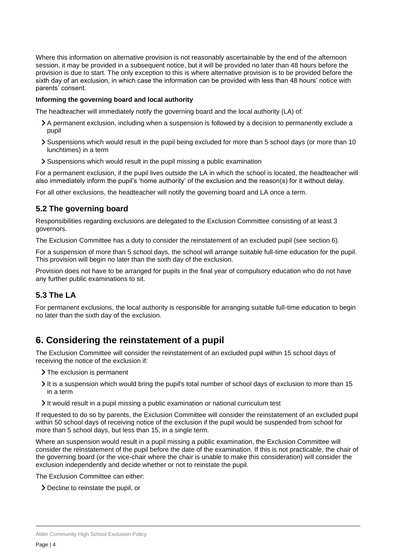Where this information on alternative provision is not reasonably ascertainable by the end of the afternoon session, it may be provided in a subsequent notice, but it will be provided no later than 48 hours before the provision is due to start. The only exception to this is where alternative provision is to be provided before the sixth day of an exclusion, in which case the information can be provided with less than 48 hours' notice with parents' consent.

#### **Informing the governing board and local authority**

The headteacher will immediately notify the governing board and the local authority (LA) of:

- A permanent exclusion, including when a suspension is followed by a decision to permanently exclude a pupil
- Suspensions which would result in the pupil being excluded for more than 5 school days (or more than 10 lunchtimes) in a term
- Suspensions which would result in the pupil missing a public examination

For a permanent exclusion, if the pupil lives outside the LA in which the school is located, the headteacher will also immediately inform the pupil's 'home authority' of the exclusion and the reason(s) for it without delay.

For all other exclusions, the headteacher will notify the governing board and LA once a term.

## **5.2 The governing board**

Responsibilities regarding exclusions are delegated to the Exclusion Committee consisting of at least 3 governors.

The Exclusion Committee has a duty to consider the reinstatement of an excluded pupil (see section 6).

For a suspension of more than 5 school days, the school will arrange suitable full-time education for the pupil. This provision will begin no later than the sixth day of the exclusion.

Provision does not have to be arranged for pupils in the final year of compulsory education who do not have any further public examinations to sit.

# **5.3 The LA**

For permanent exclusions, the local authority is responsible for arranging suitable full-time education to begin no later than the sixth day of the exclusion.

# <span id="page-3-0"></span>**6. Considering the reinstatement of a pupil**

The Exclusion Committee will consider the reinstatement of an excluded pupil within 15 school days of receiving the notice of the exclusion if:

- > The exclusion is permanent
- It is a suspension which would bring the pupil's total number of school days of exclusion to more than 15 in a term
- It would result in a pupil missing a public examination or national curriculum test

If requested to do so by parents, the Exclusion Committee will consider the reinstatement of an excluded pupil within 50 school days of receiving notice of the exclusion if the pupil would be suspended from school for more than 5 school days, but less than 15, in a single term.

Where an suspension would result in a pupil missing a public examination, the Exclusion Committee will consider the reinstatement of the pupil before the date of the examination. If this is not practicable, the chair of the governing board (or the vice-chair where the chair is unable to make this consideration) will consider the exclusion independently and decide whether or not to reinstate the pupil.

The Exclusion Committee can either:

Decline to reinstate the pupil, or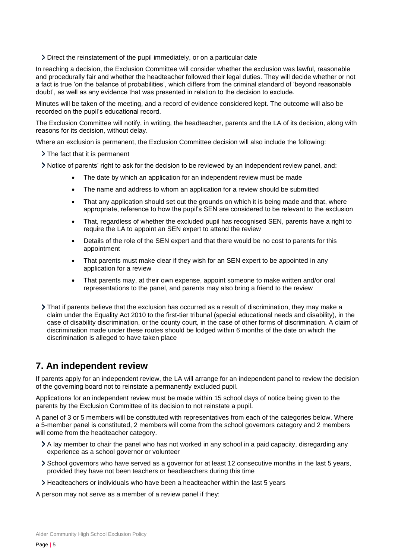Direct the reinstatement of the pupil immediately, or on a particular date

In reaching a decision, the Exclusion Committee will consider whether the exclusion was lawful, reasonable and procedurally fair and whether the headteacher followed their legal duties. They will decide whether or not a fact is true 'on the balance of probabilities', which differs from the criminal standard of 'beyond reasonable doubt', as well as any evidence that was presented in relation to the decision to exclude.

Minutes will be taken of the meeting, and a record of evidence considered kept. The outcome will also be recorded on the pupil's educational record.

The Exclusion Committee will notify, in writing, the headteacher, parents and the LA of its decision, along with reasons for its decision, without delay.

Where an exclusion is permanent, the Exclusion Committee decision will also include the following:

The fact that it is permanent

Notice of parents' right to ask for the decision to be reviewed by an independent review panel, and:

- The date by which an application for an independent review must be made
- The name and address to whom an application for a review should be submitted
- That any application should set out the grounds on which it is being made and that, where appropriate, reference to how the pupil's SEN are considered to be relevant to the exclusion
- That, regardless of whether the excluded pupil has recognised SEN, parents have a right to require the LA to appoint an SEN expert to attend the review
- Details of the role of the SEN expert and that there would be no cost to parents for this appointment
- That parents must make clear if they wish for an SEN expert to be appointed in any application for a review
- That parents may, at their own expense, appoint someone to make written and/or oral representations to the panel, and parents may also bring a friend to the review
- That if parents believe that the exclusion has occurred as a result of discrimination, they may make a claim under the Equality Act 2010 to the first-tier tribunal (special educational needs and disability), in the case of disability discrimination, or the county court, in the case of other forms of discrimination. A claim of discrimination made under these routes should be lodged within 6 months of the date on which the discrimination is alleged to have taken place

# <span id="page-4-0"></span>**7. An independent review**

If parents apply for an independent review, the LA will arrange for an independent panel to review the decision of the governing board not to reinstate a permanently excluded pupil.

Applications for an independent review must be made within 15 school days of notice being given to the parents by the Exclusion Committee of its decision to not reinstate a pupil.

A panel of 3 or 5 members will be constituted with representatives from each of the categories below. Where a 5-member panel is constituted, 2 members will come from the school governors category and 2 members will come from the headteacher category.

- A lay member to chair the panel who has not worked in any school in a paid capacity, disregarding any experience as a school governor or volunteer
- School governors who have served as a governor for at least 12 consecutive months in the last 5 years, provided they have not been teachers or headteachers during this time
- Headteachers or individuals who have been a headteacher within the last 5 years

A person may not serve as a member of a review panel if they:

Alder Community High School Exclusion Policy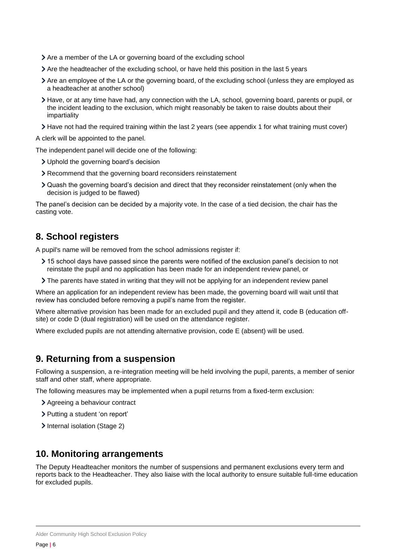- Are a member of the LA or governing board of the excluding school
- Are the headteacher of the excluding school, or have held this position in the last 5 years
- Are an employee of the LA or the governing board, of the excluding school (unless they are employed as a headteacher at another school)
- Have, or at any time have had, any connection with the LA, school, governing board, parents or pupil, or the incident leading to the exclusion, which might reasonably be taken to raise doubts about their impartiality
- Have not had the required training within the last 2 years (see appendix 1 for what training must cover)

A clerk will be appointed to the panel.

The independent panel will decide one of the following:

- Uphold the governing board's decision
- Recommend that the governing board reconsiders reinstatement
- Quash the governing board's decision and direct that they reconsider reinstatement (only when the decision is judged to be flawed)

The panel's decision can be decided by a majority vote. In the case of a tied decision, the chair has the casting vote.

# <span id="page-5-0"></span>**8. School registers**

A pupil's name will be removed from the school admissions register if:

- 15 school days have passed since the parents were notified of the exclusion panel's decision to not reinstate the pupil and no application has been made for an independent review panel, or
- The parents have stated in writing that they will not be applying for an independent review panel

Where an application for an independent review has been made, the governing board will wait until that review has concluded before removing a pupil's name from the register.

Where alternative provision has been made for an excluded pupil and they attend it, code B (education offsite) or code D (dual registration) will be used on the attendance register.

Where excluded pupils are not attending alternative provision, code E (absent) will be used.

# <span id="page-5-1"></span>**9. Returning from a suspension**

Following a suspension, a re-integration meeting will be held involving the pupil, parents, a member of senior staff and other staff, where appropriate.

The following measures may be implemented when a pupil returns from a fixed-term exclusion:

- Agreeing a behaviour contract
- > Putting a student 'on report'
- Internal isolation (Stage 2)

# <span id="page-5-2"></span>**10. Monitoring arrangements**

The Deputy Headteacher monitors the number of suspensions and permanent exclusions every term and reports back to the Headteacher. They also liaise with the local authority to ensure suitable full-time education for excluded pupils.

Alder Community High School Exclusion Policy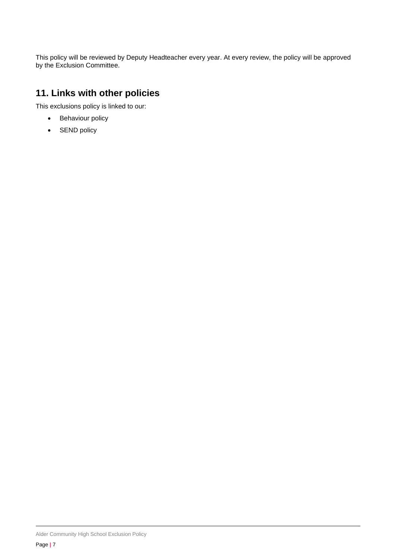This policy will be reviewed by Deputy Headteacher every year. At every review, the policy will be approved by the Exclusion Committee.

# <span id="page-6-0"></span>**11. Links with other policies**

This exclusions policy is linked to our:

- Behaviour policy
- SEND policy

Alder Community High School Exclusion Policy